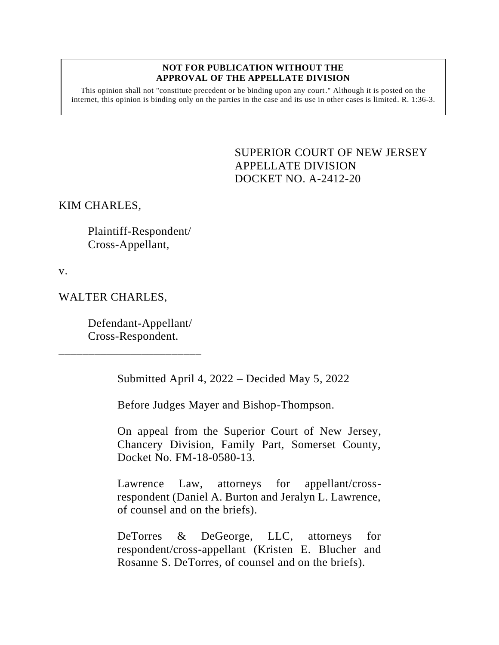## **NOT FOR PUBLICATION WITHOUT THE APPROVAL OF THE APPELLATE DIVISION**

This opinion shall not "constitute precedent or be binding upon any court." Although it is posted on the internet, this opinion is binding only on the parties in the case and its use in other cases is limited.  $R_1$  1:36-3.

> <span id="page-0-0"></span>SUPERIOR COURT OF NEW JERSEY APPELLATE DIVISION DOCKET NO. A-2412-20

KIM CHARLES,

Plaintiff-Respondent/ Cross-Appellant,

v.

WALTER CHARLES,

Defendant-Appellant/ Cross-Respondent.

\_\_\_\_\_\_\_\_\_\_\_\_\_\_\_\_\_\_\_\_\_\_\_\_

Submitted April 4, 2022 – Decided May 5, 2022

Before Judges Mayer and Bishop-Thompson.

On appeal from the Superior Court of New Jersey, Chancery Division, Family Part, Somerset County, Docket No. FM-18-0580-13.

Lawrence Law, attorneys for appellant/crossrespondent (Daniel A. Burton and Jeralyn L. Lawrence, of counsel and on the briefs).

DeTorres & DeGeorge, LLC, attorneys for respondent/cross-appellant (Kristen E. Blucher and Rosanne S. DeTorres, of counsel and on the briefs).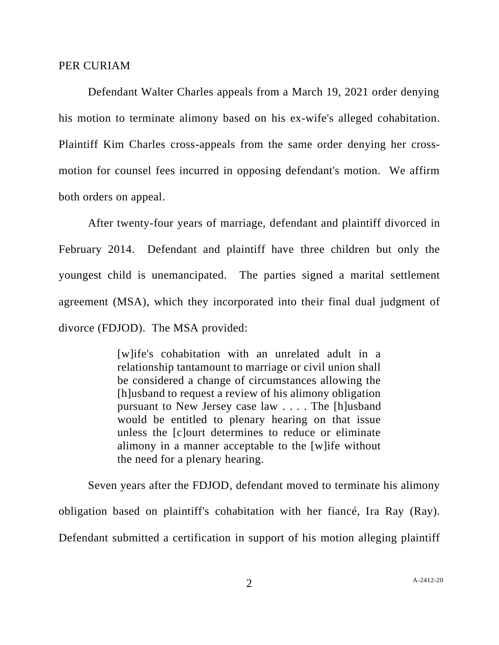## PER CURIAM

Defendant Walter Charles appeals from a March 19, 2021 order denying his motion to terminate alimony based on his ex-wife's alleged cohabitation. Plaintiff Kim Charles cross-appeals from the same order denying her crossmotion for counsel fees incurred in opposing defendant's motion. We affirm both orders on appeal.

After twenty-four years of marriage, defendant and plaintiff divorced in February 2014. Defendant and plaintiff have three children but only the youngest child is unemancipated. The parties signed a marital settlement agreement (MSA), which they incorporated into their final dual judgment of divorce (FDJOD). The MSA provided:

> [w]ife's cohabitation with an unrelated adult in a relationship tantamount to marriage or civil union shall be considered a change of circumstances allowing the [h]usband to request a review of his alimony obligation pursuant to New Jersey case law . . . . The [h]usband would be entitled to plenary hearing on that issue unless the [c]ourt determines to reduce or eliminate alimony in a manner acceptable to the [w]ife without the need for a plenary hearing.

Seven years after the FDJOD, defendant moved to terminate his alimony obligation based on plaintiff's cohabitation with her fiancé, Ira Ray (Ray). Defendant submitted a certification in support of his motion alleging plaintiff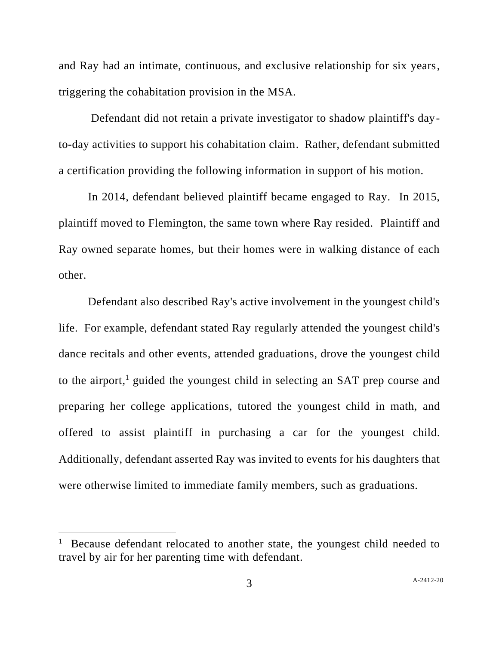and Ray had an intimate, continuous, and exclusive relationship for six years, triggering the cohabitation provision in the MSA.

Defendant did not retain a private investigator to shadow plaintiff's dayto-day activities to support his cohabitation claim. Rather, defendant submitted a certification providing the following information in support of his motion.

In 2014, defendant believed plaintiff became engaged to Ray. In 2015, plaintiff moved to Flemington, the same town where Ray resided. Plaintiff and Ray owned separate homes, but their homes were in walking distance of each other.

Defendant also described Ray's active involvement in the youngest child's life. For example, defendant stated Ray regularly attended the youngest child's dance recitals and other events, attended graduations, drove the youngest child to the airport, <sup>1</sup> guided the youngest child in selecting an SAT prep course and preparing her college applications, tutored the youngest child in math, and offered to assist plaintiff in purchasing a car for the youngest child. Additionally, defendant asserted Ray was invited to events for his daughters that were otherwise limited to immediate family members, such as graduations.

<sup>&</sup>lt;sup>1</sup> Because defendant relocated to another state, the youngest child needed to travel by air for her parenting time with defendant.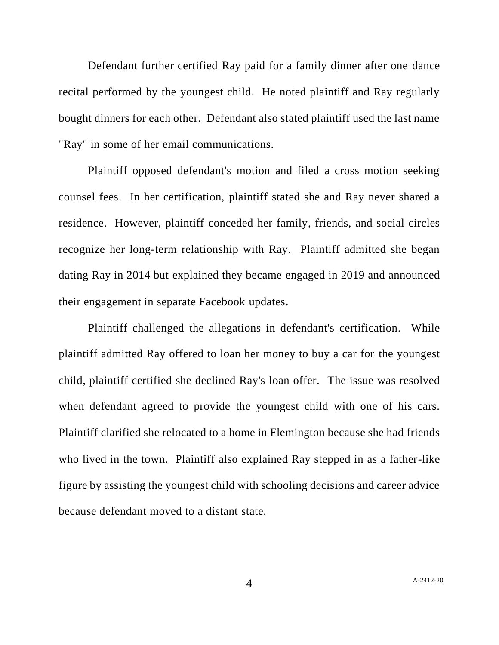Defendant further certified Ray paid for a family dinner after one dance recital performed by the youngest child. He noted plaintiff and Ray regularly bought dinners for each other. Defendant also stated plaintiff used the last name "Ray" in some of her email communications.

Plaintiff opposed defendant's motion and filed a cross motion seeking counsel fees. In her certification, plaintiff stated she and Ray never shared a residence. However, plaintiff conceded her family, friends, and social circles recognize her long-term relationship with Ray. Plaintiff admitted she began dating Ray in 2014 but explained they became engaged in 2019 and announced their engagement in separate Facebook updates.

Plaintiff challenged the allegations in defendant's certification. While plaintiff admitted Ray offered to loan her money to buy a car for the youngest child, plaintiff certified she declined Ray's loan offer. The issue was resolved when defendant agreed to provide the youngest child with one of his cars. Plaintiff clarified she relocated to a home in Flemington because she had friends who lived in the town. Plaintiff also explained Ray stepped in as a father-like figure by assisting the youngest child with schooling decisions and career advice because defendant moved to a distant state.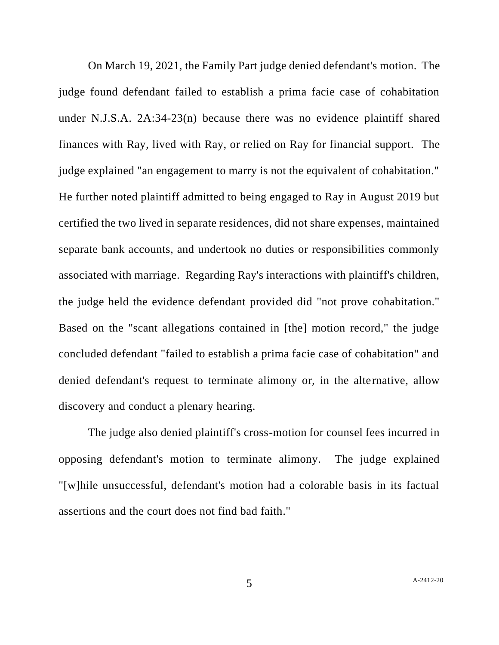On March 19, 2021, the Family Part judge denied defendant's motion. The judge found defendant failed to establish a prima facie case of cohabitation under N.J.S.A. 2A:34-23(n) because there was no evidence plaintiff shared finances with Ray, lived with Ray, or relied on Ray for financial support. The judge explained "an engagement to marry is not the equivalent of cohabitation." He further noted plaintiff admitted to being engaged to Ray in August 2019 but certified the two lived in separate residences, did not share expenses, maintained separate bank accounts, and undertook no duties or responsibilities commonly associated with marriage. Regarding Ray's interactions with plaintiff's children, the judge held the evidence defendant provided did "not prove cohabitation." Based on the "scant allegations contained in [the] motion record," the judge concluded defendant "failed to establish a prima facie case of cohabitation" and denied defendant's request to terminate alimony or, in the alternative, allow discovery and conduct a plenary hearing.

The judge also denied plaintiff's cross-motion for counsel fees incurred in opposing defendant's motion to terminate alimony. The judge explained "[w]hile unsuccessful, defendant's motion had a colorable basis in its factual assertions and the court does not find bad faith."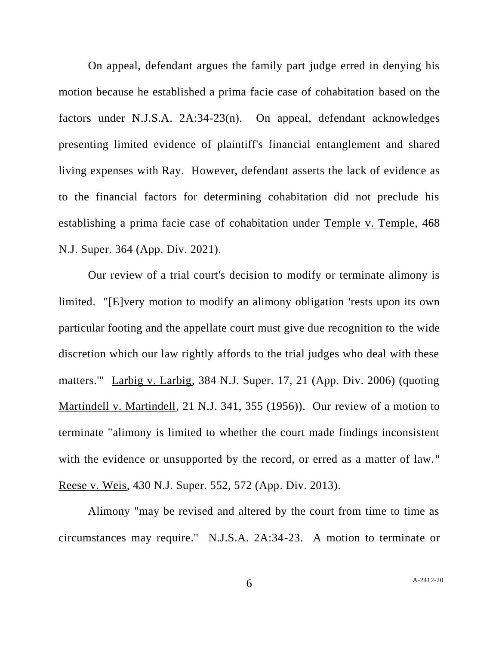On appeal, defendant argues the family part judge erred in denying his motion because he established a prima facie case of cohabitation based on the factors under N.J.S.A. 2A:34-23(n). On appeal, defendant acknowledges presenting limited evidence of plaintiff's financial entanglement and shared living expenses with Ray. However, defendant asserts the lack of evidence as to the financial factors for determining cohabitation did not preclude his establishing a prima facie case of cohabitation under Temple v. Temple, 468 N.J. Super. 364 (App. Div. 2021).

Our review of a trial court's decision to modify or terminate alimony is limited. "[E]very motion to modify an alimony obligation 'rests upon its own particular footing and the appellate court must give due recognition to the wide discretion which our law rightly affords to the trial judges who deal with these matters.'" Larbig v. Larbig, 384 N.J. Super. 17, 21 (App. Div. 2006) (quoting Martindell v. Martindell, 21 N.J. 341, 355 (1956)). Our review of a motion to terminate "alimony is limited to whether the court made findings inconsistent with the evidence or unsupported by the record, or erred as a matter of law." Reese v. Weis, 430 N.J. Super. 552, 572 (App. Div. 2013).

Alimony "may be revised and altered by the court from time to time as circumstances may require." N.J.S.A. 2A:34-23. A motion to terminate or

6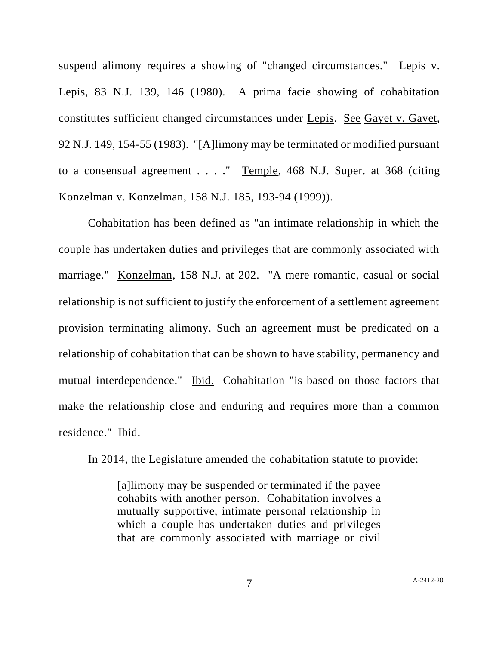suspend alimony requires a showing of "changed circumstances." Lepis v. Lepis, 83 N.J. 139, 146 (1980). A prima facie showing of cohabitation constitutes sufficient changed circumstances under Lepis. See Gayet v. Gayet, 92 N.J. 149, 154-55 (1983). "[A]limony may be terminated or modified pursuant to a consensual agreement . . . ." Temple, 468 N.J. Super. at 368 (citing Konzelman v. Konzelman, 158 N.J. 185, 193-94 (1999)).

Cohabitation has been defined as "an intimate relationship in which the couple has undertaken duties and privileges that are commonly associated with marriage." Konzelman, 158 N.J. at 202. "A mere romantic, casual or social relationship is not sufficient to justify the enforcement of a settlement agreement provision terminating alimony. Such an agreement must be predicated on a relationship of cohabitation that can be shown to have stability, permanency and mutual interdependence." Ibid. Cohabitation "is based on those factors that make the relationship close and enduring and requires more than a common residence." Ibid.

In 2014, the Legislature amended the cohabitation statute to provide:

[a]limony may be suspended or terminated if the payee cohabits with another person. Cohabitation involves a mutually supportive, intimate personal relationship in which a couple has undertaken duties and privileges that are commonly associated with marriage or civil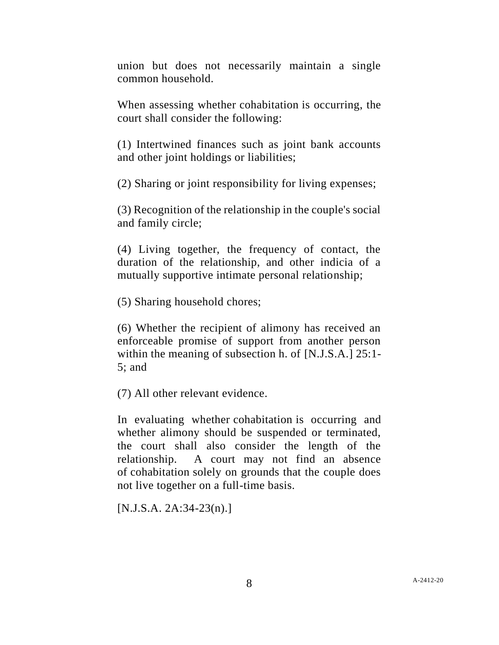union but does not necessarily maintain a single common household.

When assessing whether cohabitation is occurring, the court shall consider the following:

(1) Intertwined finances such as joint bank accounts and other joint holdings or liabilities;

(2) Sharing or joint responsibility for living expenses;

(3) Recognition of the relationship in the couple's social and family circle;

(4) Living together, the frequency of contact, the duration of the relationship, and other indicia of a mutually supportive intimate personal relationship;

(5) Sharing household chores;

(6) Whether the recipient of alimony has received an enforceable promise of support from another person within the meaning of subsection h. of [N.J.S.A.] 25:1- 5; and

(7) All other relevant evidence.

In evaluating whether cohabitation is occurring and whether alimony should be suspended or terminated, the court shall also consider the length of the relationship. A court may not find an absence of cohabitation solely on grounds that the couple does not live together on a full-time basis.

[N.J.S.A. 2A:34-23(n).]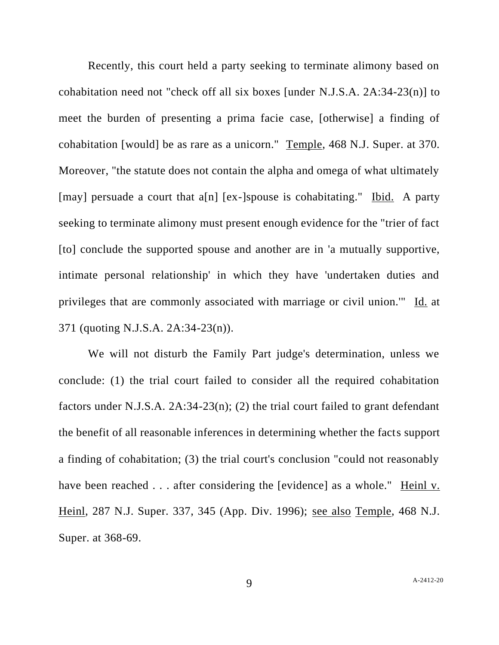Recently, this court held a party seeking to terminate alimony based on cohabitation need not "check off all six boxes [under N.J.S.A. 2A:34-23(n)] to meet the burden of presenting a prima facie case, [otherwise] a finding of cohabitation [would] be as rare as a unicorn." Temple, 468 N.J. Super. at 370. Moreover, "the statute does not contain the alpha and omega of what ultimately [may] persuade a court that a[n] [ex-]spouse is cohabitating." Ibid. A party seeking to terminate alimony must present enough evidence for the "trier of fact [to] conclude the supported spouse and another are in 'a mutually supportive, intimate personal relationship' in which they have 'undertaken duties and privileges that are commonly associated with marriage or civil union.'" Id. at 371 (quoting N.J.S.A. 2A:34-23(n)).

We will not disturb the Family Part judge's determination, unless we conclude: (1) the trial court failed to consider all the required cohabitation factors under N.J.S.A. 2A:34-23(n); (2) the trial court failed to grant defendant the benefit of all reasonable inferences in determining whether the facts support a finding of cohabitation; (3) the trial court's conclusion "could not reasonably have been reached . . . after considering the [evidence] as a whole." Heinl v. Heinl, 287 N.J. Super. 337, 345 (App. Div. 1996); see also Temple, 468 N.J. Super. at 368-69.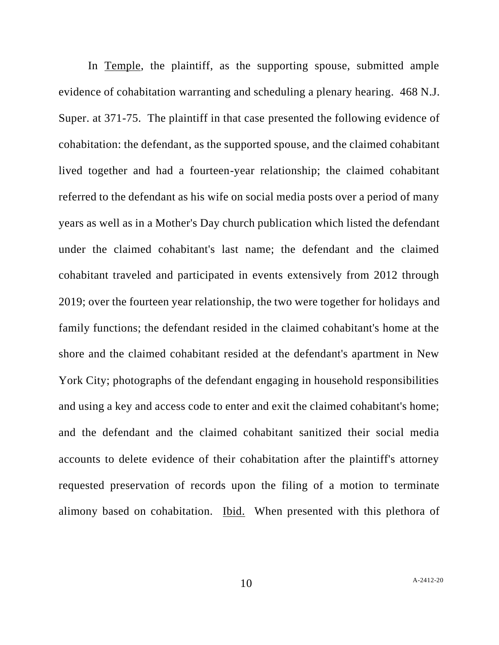In Temple, the plaintiff, as the supporting spouse, submitted ample evidence of cohabitation warranting and scheduling a plenary hearing. 468 N.J. Super. at 371-75. The plaintiff in that case presented the following evidence of cohabitation: the defendant, as the supported spouse, and the claimed cohabitant lived together and had a fourteen-year relationship; the claimed cohabitant referred to the defendant as his wife on social media posts over a period of many years as well as in a Mother's Day church publication which listed the defendant under the claimed cohabitant's last name; the defendant and the claimed cohabitant traveled and participated in events extensively from 2012 through 2019; over the fourteen year relationship, the two were together for holidays and family functions; the defendant resided in the claimed cohabitant's home at the shore and the claimed cohabitant resided at the defendant's apartment in New York City; photographs of the defendant engaging in household responsibilities and using a key and access code to enter and exit the claimed cohabitant's home; and the defendant and the claimed cohabitant sanitized their social media accounts to delete evidence of their cohabitation after the plaintiff's attorney requested preservation of records upon the filing of a motion to terminate alimony based on cohabitation. Ibid. When presented with this plethora of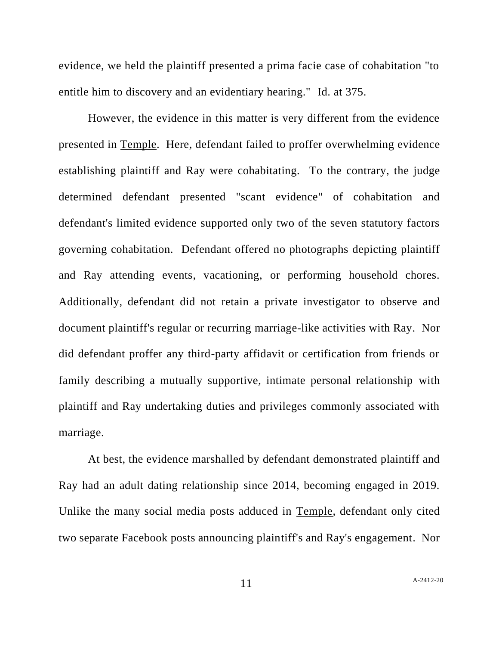evidence, we held the plaintiff presented a prima facie case of cohabitation "to entitle him to discovery and an evidentiary hearing." Id. at 375.

However, the evidence in this matter is very different from the evidence presented in Temple. Here, defendant failed to proffer overwhelming evidence establishing plaintiff and Ray were cohabitating. To the contrary, the judge determined defendant presented "scant evidence" of cohabitation and defendant's limited evidence supported only two of the seven statutory factors governing cohabitation. Defendant offered no photographs depicting plaintiff and Ray attending events, vacationing, or performing household chores. Additionally, defendant did not retain a private investigator to observe and document plaintiff's regular or recurring marriage-like activities with Ray. Nor did defendant proffer any third-party affidavit or certification from friends or family describing a mutually supportive, intimate personal relationship with plaintiff and Ray undertaking duties and privileges commonly associated with marriage.

At best, the evidence marshalled by defendant demonstrated plaintiff and Ray had an adult dating relationship since 2014, becoming engaged in 2019. Unlike the many social media posts adduced in Temple, defendant only cited two separate Facebook posts announcing plaintiff's and Ray's engagement. Nor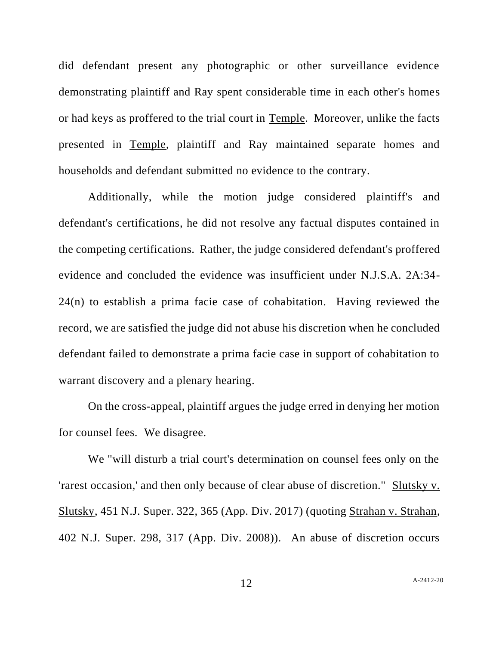did defendant present any photographic or other surveillance evidence demonstrating plaintiff and Ray spent considerable time in each other's homes or had keys as proffered to the trial court in Temple. Moreover, unlike the facts presented in Temple, plaintiff and Ray maintained separate homes and households and defendant submitted no evidence to the contrary.

Additionally, while the motion judge considered plaintiff's and defendant's certifications, he did not resolve any factual disputes contained in the competing certifications. Rather, the judge considered defendant's proffered evidence and concluded the evidence was insufficient under N.J.S.A. 2A:34- 24(n) to establish a prima facie case of cohabitation. Having reviewed the record, we are satisfied the judge did not abuse his discretion when he concluded defendant failed to demonstrate a prima facie case in support of cohabitation to warrant discovery and a plenary hearing.

On the cross-appeal, plaintiff argues the judge erred in denying her motion for counsel fees. We disagree.

We "will disturb a trial court's determination on counsel fees only on the 'rarest occasion,' and then only because of clear abuse of discretion." Slutsky v. Slutsky, 451 N.J. Super. 322, 365 (App. Div. 2017) (quoting Strahan v. Strahan, 402 N.J. Super. 298, 317 (App. Div. 2008)). An abuse of discretion occurs